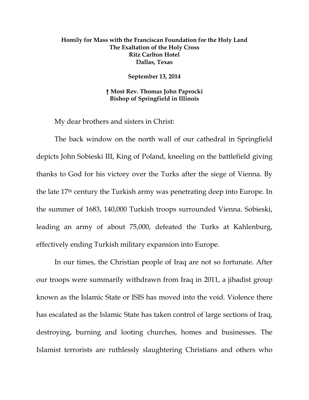## **Homily for Mass with the Franciscan Foundation for the Holy Land The Exaltation of the Holy Cross Ritz Carlton Hotel Dallas, Texas**

**September 13, 2014** 

**† Most Rev. Thomas John Paprocki Bishop of Springfield in Illinois** 

My dear brothers and sisters in Christ:

The back window on the north wall of our cathedral in Springfield depicts John Sobieski III, King of Poland, kneeling on the battlefield giving thanks to God for his victory over the Turks after the siege of Vienna. By the late 17th century the Turkish army was penetrating deep into Europe. In the summer of 1683, 140,000 Turkish troops surrounded Vienna. Sobieski, leading an army of about 75,000, defeated the Turks at Kahlenburg, effectively ending Turkish military expansion into Europe.

In our times, the Christian people of Iraq are not so fortunate. After our troops were summarily withdrawn from Iraq in 2011, a jihadist group known as the Islamic State or ISIS has moved into the void. Violence there has escalated as the Islamic State has taken control of large sections of Iraq, destroying, burning and looting churches, homes and businesses. The Islamist terrorists are ruthlessly slaughtering Christians and others who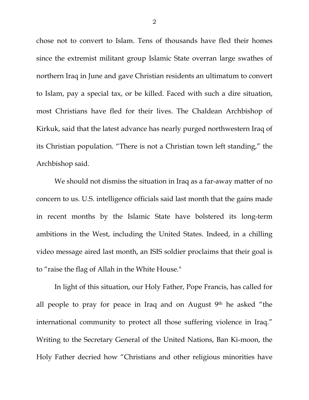chose not to convert to Islam. Tens of thousands have fled their homes since the extremist militant group Islamic State overran large swathes of northern Iraq in June and gave Christian residents an ultimatum to convert to Islam, pay a special tax, or be killed. Faced with such a dire situation, most Christians have fled for their lives. The Chaldean Archbishop of Kirkuk, said that the latest advance has nearly purged northwestern Iraq of its Christian population. "There is not a Christian town left standing," the Archbishop said.

We should not dismiss the situation in Iraq as a far-away matter of no concern to us. U.S. intelligence officials said last month that the gains made in recent months by the Islamic State have bolstered its long-term ambitions in the West, including the United States. Indeed, in a chilling video message aired last month, an ISIS soldier proclaims that their goal is to "raise the flag of Allah in the White House."

In light of this situation, our Holy Father, Pope Francis, has called for all people to pray for peace in Iraq and on August 9th he asked "the international community to protect all those suffering violence in Iraq." Writing to the Secretary General of the United Nations, Ban Ki-moon, the Holy Father decried how "Christians and other religious minorities have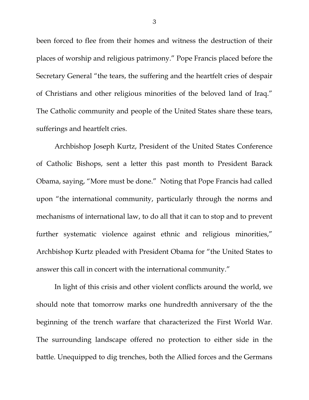been forced to flee from their homes and witness the destruction of their places of worship and religious patrimony." Pope Francis placed before the Secretary General "the tears, the suffering and the heartfelt cries of despair of Christians and other religious minorities of the beloved land of Iraq." The Catholic community and people of the United States share these tears, sufferings and heartfelt cries.

Archbishop Joseph Kurtz, President of the United States Conference of Catholic Bishops, sent a letter this past month to President Barack Obama, saying, "More must be done." Noting that Pope Francis had called upon "the international community, particularly through the norms and mechanisms of international law, to do all that it can to stop and to prevent further systematic violence against ethnic and religious minorities," Archbishop Kurtz pleaded with President Obama for "the United States to answer this call in concert with the international community."

In light of this crisis and other violent conflicts around the world, we should note that tomorrow marks one hundredth anniversary of the the beginning of the trench warfare that characterized the First World War. The surrounding landscape offered no protection to either side in the battle. Unequipped to dig trenches, both the Allied forces and the Germans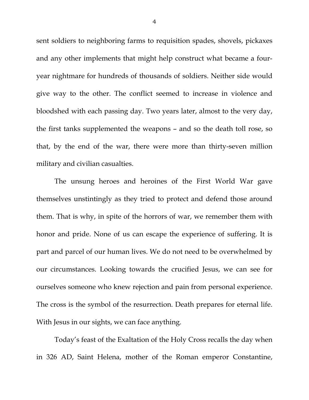sent soldiers to neighboring farms to requisition spades, shovels, pickaxes and any other implements that might help construct what became a fouryear nightmare for hundreds of thousands of soldiers. Neither side would give way to the other. The conflict seemed to increase in violence and bloodshed with each passing day. Two years later, almost to the very day, the first tanks supplemented the weapons – and so the death toll rose, so that, by the end of the war, there were more than thirty-seven million military and civilian casualties.

The unsung heroes and heroines of the First World War gave themselves unstintingly as they tried to protect and defend those around them. That is why, in spite of the horrors of war, we remember them with honor and pride. None of us can escape the experience of suffering. It is part and parcel of our human lives. We do not need to be overwhelmed by our circumstances. Looking towards the crucified Jesus, we can see for ourselves someone who knew rejection and pain from personal experience. The cross is the symbol of the resurrection. Death prepares for eternal life. With Jesus in our sights, we can face anything.

Today's feast of the Exaltation of the Holy Cross recalls the day when in 326 AD, Saint Helena, mother of the Roman emperor Constantine,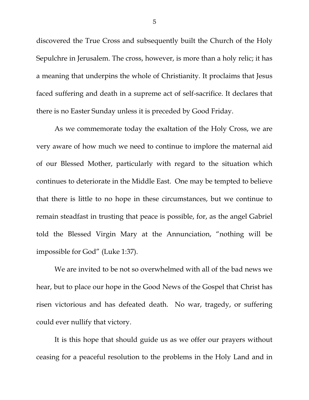discovered the True Cross and subsequently built the Church of the Holy Sepulchre in Jerusalem. The cross, however, is more than a holy relic; it has a meaning that underpins the whole of Christianity. It proclaims that Jesus faced suffering and death in a supreme act of self-sacrifice. It declares that there is no Easter Sunday unless it is preceded by Good Friday.

As we commemorate today the exaltation of the Holy Cross, we are very aware of how much we need to continue to implore the maternal aid of our Blessed Mother, particularly with regard to the situation which continues to deteriorate in the Middle East. One may be tempted to believe that there is little to no hope in these circumstances, but we continue to remain steadfast in trusting that peace is possible, for, as the angel Gabriel told the Blessed Virgin Mary at the Annunciation, "nothing will be impossible for God" (Luke 1:37).

We are invited to be not so overwhelmed with all of the bad news we hear, but to place our hope in the Good News of the Gospel that Christ has risen victorious and has defeated death. No war, tragedy, or suffering could ever nullify that victory.

It is this hope that should guide us as we offer our prayers without ceasing for a peaceful resolution to the problems in the Holy Land and in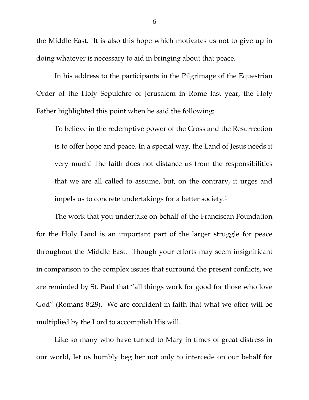the Middle East. It is also this hope which motivates us not to give up in doing whatever is necessary to aid in bringing about that peace.

In his address to the participants in the Pilgrimage of the Equestrian Order of the Holy Sepulchre of Jerusalem in Rome last year, the Holy Father highlighted this point when he said the following:

To believe in the redemptive power of the Cross and the Resurrection is to offer hope and peace. In a special way, the Land of Jesus needs it very much! The faith does not distance us from the responsibilities that we are all called to assume, but, on the contrary, it urges and impels us to concrete undertakings for a better society.1

The work that you undertake on behalf of the Franciscan Foundation for the Holy Land is an important part of the larger struggle for peace throughout the Middle East. Though your efforts may seem insignificant in comparison to the complex issues that surround the present conflicts, we are reminded by St. Paul that "all things work for good for those who love God" (Romans 8:28). We are confident in faith that what we offer will be multiplied by the Lord to accomplish His will.

Like so many who have turned to Mary in times of great distress in our world, let us humbly beg her not only to intercede on our behalf for